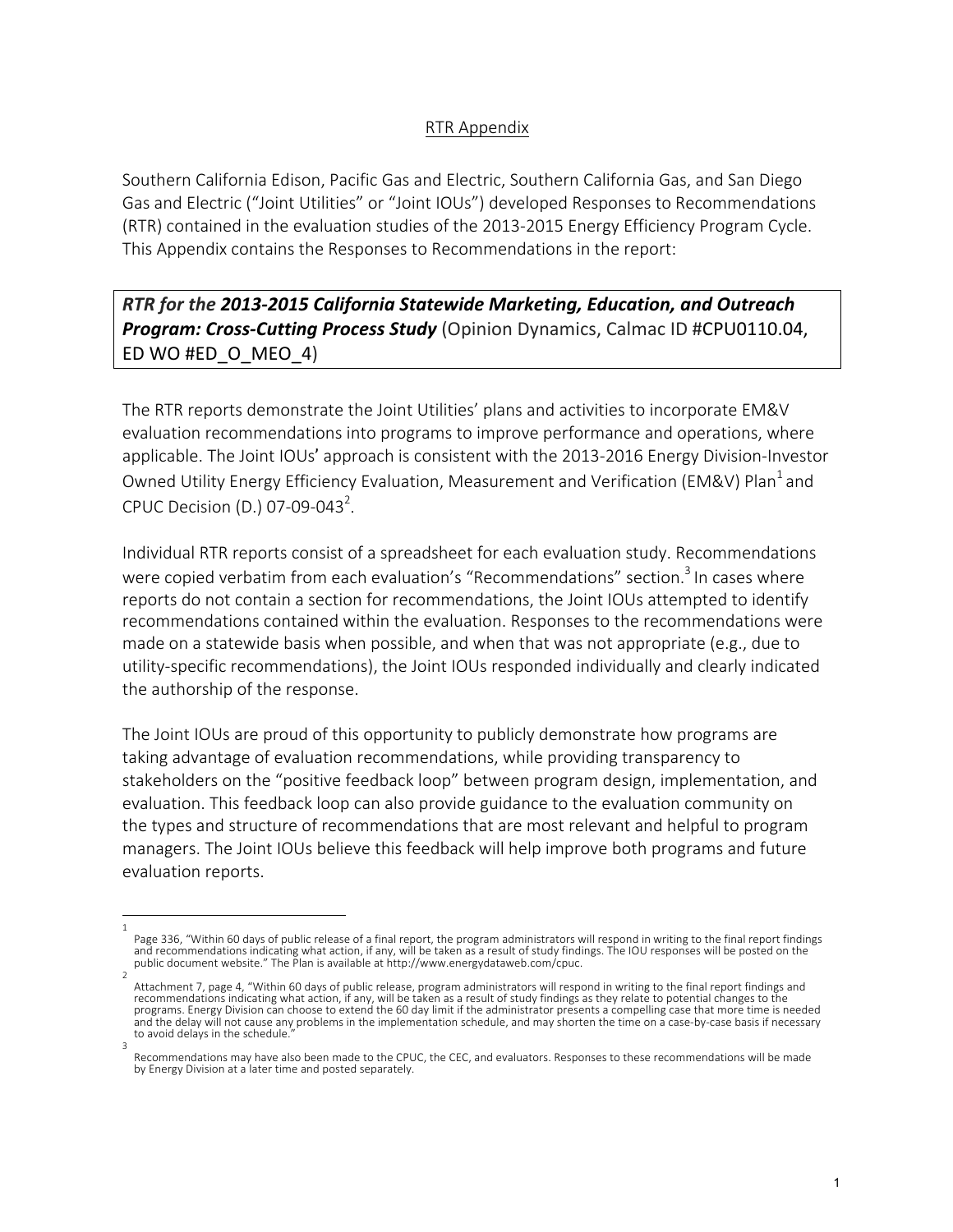## RTR Appendix

Southern California Edison, Pacific Gas and Electric, Southern California Gas, and San Diego Gas and Electric ("Joint Utilities" or "Joint IOUs") developed Responses to Recommendations (RTR) contained in the evaluation studies of the 2013-2015 Energy Efficiency Program Cycle. This Appendix contains the Responses to Recommendations in the report:

*RTR* for the 2013-2015 California Statewide Marketing, Education, and Outreach **Program: Cross-Cutting Process Study** (Opinion Dynamics, Calmac ID #CPU0110.04, ED WO #ED\_O\_MEO\_4)

The RTR reports demonstrate the Joint Utilities' plans and activities to incorporate EM&V evaluation recommendations into programs to improve performance and operations, where applicable. The Joint IOUs' approach is consistent with the 2013-2016 Energy Division-Investor Owned Utility Energy Efficiency Evaluation, Measurement and Verification (EM&V) Plan<sup>1</sup> and CPUC Decision (D.) 07-09-043<sup>2</sup>.

Individual RTR reports consist of a spreadsheet for each evaluation study. Recommendations were copied verbatim from each evaluation's "Recommendations" section.<sup>3</sup> In cases where reports do not contain a section for recommendations, the Joint IOUs attempted to identify recommendations contained within the evaluation. Responses to the recommendations were made on a statewide basis when possible, and when that was not appropriate (e.g., due to utility-specific recommendations), the Joint IOUs responded individually and clearly indicated the authorship of the response.

The Joint IOUs are proud of this opportunity to publicly demonstrate how programs are taking advantage of evaluation recommendations, while providing transparency to stakeholders on the "positive feedback loop" between program design, implementation, and evaluation. This feedback loop can also provide guidance to the evaluation community on the types and structure of recommendations that are most relevant and helpful to program managers. The Joint IOUs believe this feedback will help improve both programs and future evaluation reports.

<sup>1</sup>  Page 336, "Within 60 days of public release of a final report, the program administrators will respond in writing to the final report findings and recommendations indicating what action, if any, will be taken as a result of study findings. The IOU responses will be posted on the<br>public document website." The Plan is available at http://www.energydataweb.com/cpuc.

<sup>2</sup>  Attachment 7, page 4, "Within 60 days of public release, program administrators will respond in writing to the final report findings and recommendations indicating what action, if any, will be taken as a result of study findings as they relate to potential changes to the programs. Energy Division can choose to extend the 60 day limit if the administrator presents a compelling case that more time is needed and the delay will not cause any problems in the implementation schedule, and may shorten the time on a case-by-case basis if necessary to avoid delays in the schedule

<sup>3</sup>  Recommendations may have also been made to the CPUC, the CEC, and evaluators. Responses to these recommendations will be made by Energy Division at a later time and posted separately.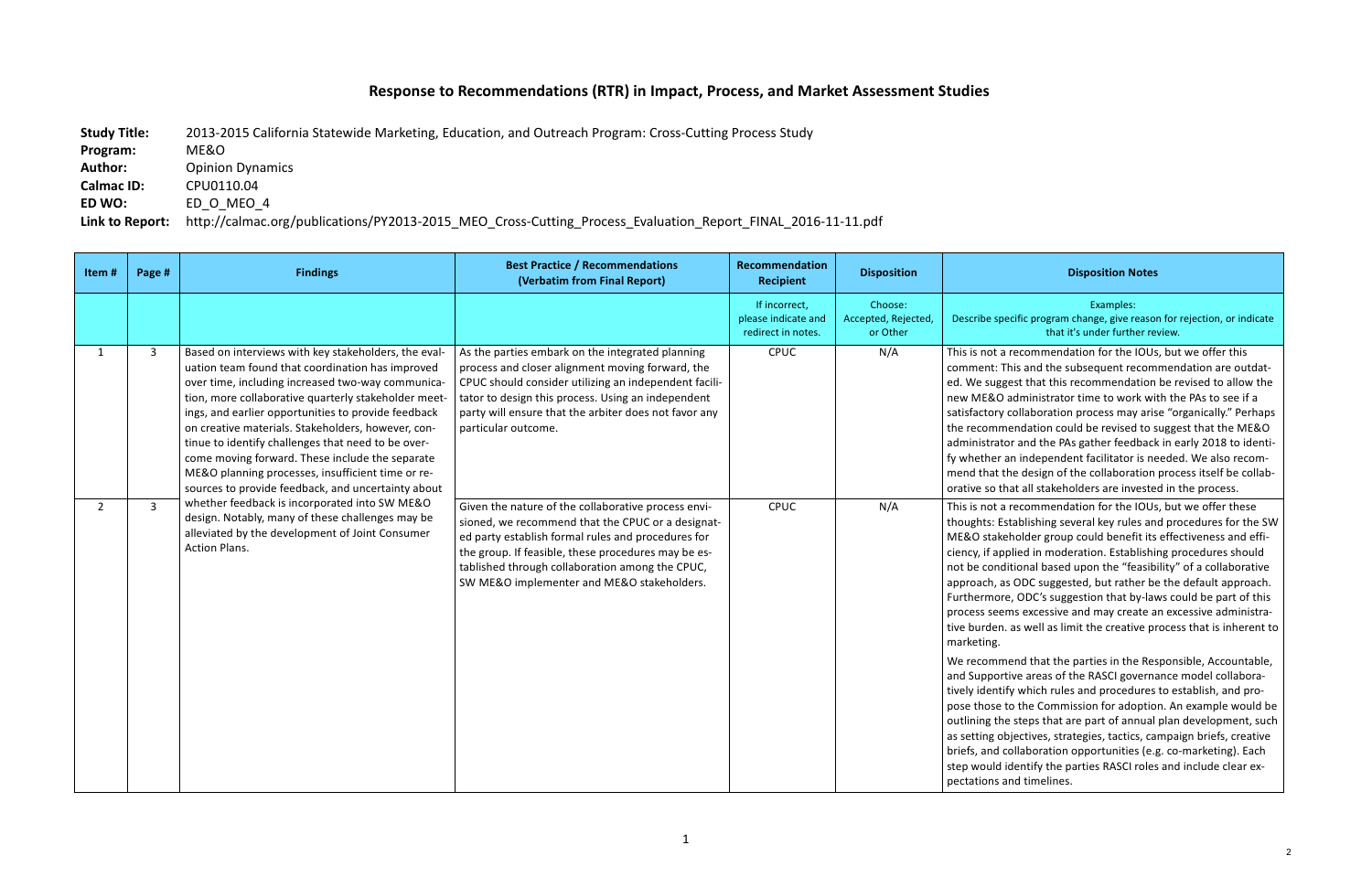## **Response to Recommendations (RTR) in Impact, Process, and Market Assessment Studies**

**Study Title:** 2013-2015 California Statewide Marketing, Education, and Outreach Program: Cross-Cutting Process Study **Program:**  ME&O **Author:** Opinion Dynamics **Calmac ID: CPU0110.04 ED WO:** ED O MEO 4 Link to Report: http://calmac.org/publications/PY2013-2015 MEO Cross-Cutting Process\_Evaluation\_Report\_FINAL\_2016-11-11.pdf

## **Disposition Notes**

Examples: 

ific program change, give reason for rejection, or indicate that it's under further review.

ecommendation for the IOUs, but we offer this is and the subsequent recommendation are outdatest that this recommendation be revised to allow the dministrator time to work with the PAs to see if a ollaboration process may arise "organically." Perhaps ndation could be revised to suggest that the ME&O and the PAs gather feedback in early 2018 to identiindependent facilitator is needed. We also recome design of the collaboration process itself be collabat all stakeholders are invested in the process.

recommendation for the IOUs, but we offer these ablishing several key rules and procedures for the SW older group could benefit its effectiveness and effilied in moderation. Establishing procedures should ional based upon the "feasibility" of a collaborative ODC suggested, but rather be the default approach. ODC's suggestion that by-laws could be part of this is excessive and may create an excessive administrais well as limit the creative process that is inherent to

Ind that the parties in the Responsible, Accountable, ve areas of the RASCI governance model collaborawhich rules and procedures to establish, and prothe Commission for adoption. An example would be steps that are part of annual plan development, such ectives, strategies, tactics, campaign briefs, creative Illaboration opportunities (e.g. co-marketing). Each lentify the parties RASCI roles and include clear exd timelines.

| Item#          | Page #       | <b>Findings</b>                                                                                                                                                                                                                                                                                                                                                                                                                                                                                                                                        | <b>Best Practice / Recommendations</b><br>(Verbatim from Final Report)                                                                                                                                                                                                                                                 | Recommendation<br><b>Recipient</b>                         | <b>Disposition</b>                         |                                                                                                                                                                                                                                                                                                                                |
|----------------|--------------|--------------------------------------------------------------------------------------------------------------------------------------------------------------------------------------------------------------------------------------------------------------------------------------------------------------------------------------------------------------------------------------------------------------------------------------------------------------------------------------------------------------------------------------------------------|------------------------------------------------------------------------------------------------------------------------------------------------------------------------------------------------------------------------------------------------------------------------------------------------------------------------|------------------------------------------------------------|--------------------------------------------|--------------------------------------------------------------------------------------------------------------------------------------------------------------------------------------------------------------------------------------------------------------------------------------------------------------------------------|
|                |              |                                                                                                                                                                                                                                                                                                                                                                                                                                                                                                                                                        |                                                                                                                                                                                                                                                                                                                        | If incorrect,<br>please indicate and<br>redirect in notes. | Choose:<br>Accepted, Rejected,<br>or Other | Describe spec                                                                                                                                                                                                                                                                                                                  |
| $\mathbf{1}$   | $\mathbf{3}$ | Based on interviews with key stakeholders, the eval-<br>uation team found that coordination has improved<br>over time, including increased two-way communica-<br>tion, more collaborative quarterly stakeholder meet-<br>ings, and earlier opportunities to provide feedback<br>on creative materials. Stakeholders, however, con-<br>tinue to identify challenges that need to be over-<br>come moving forward. These include the separate<br>ME&O planning processes, insufficient time or re-<br>sources to provide feedback, and uncertainty about | As the parties embark on the integrated planning<br>process and closer alignment moving forward, the<br>CPUC should consider utilizing an independent facili-<br>tator to design this process. Using an independent<br>party will ensure that the arbiter does not favor any<br>particular outcome.                    | CPUC                                                       | N/A                                        | This is not a r<br>comment: Th<br>ed. We sugge<br>new ME&O a<br>satisfactory co<br>the recomme<br>administrator<br>fy whether ar<br>mend that the<br>orative so tha                                                                                                                                                            |
| $\overline{2}$ | $\mathbf{3}$ | whether feedback is incorporated into SW ME&O<br>design. Notably, many of these challenges may be<br>alleviated by the development of Joint Consumer<br>Action Plans.                                                                                                                                                                                                                                                                                                                                                                                  | Given the nature of the collaborative process envi-<br>sioned, we recommend that the CPUC or a designat-<br>ed party establish formal rules and procedures for<br>the group. If feasible, these procedures may be es-<br>tablished through collaboration among the CPUC,<br>SW ME&O implementer and ME&O stakeholders. | CPUC                                                       | N/A                                        | This is not a r<br>thoughts: Esta<br>ME&O stakeh<br>ciency, if appl<br>not be condit<br>approach, as<br>Furthermore,<br>process seem<br>tive burden. a<br>marketing.<br>We recomme<br>and Supportiv<br>tively identify<br>pose those to<br>outlining the<br>as setting obj<br>briefs, and co<br>step would id<br>pectations an |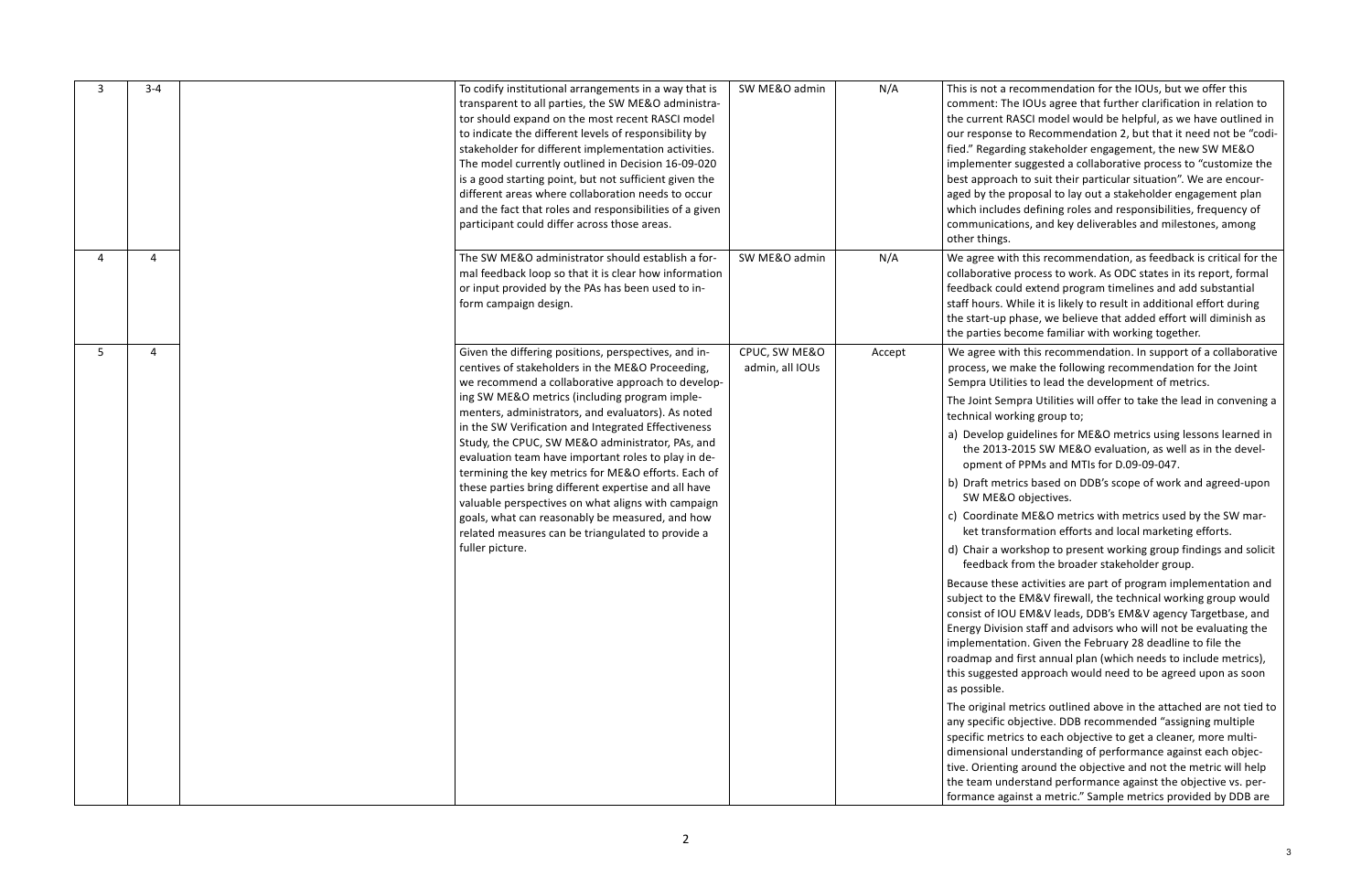recommendation for the IOUs, but we offer this he IOUs agree that further clarification in relation to RASCI model would be helpful, as we have outlined in e to Recommendation 2, but that it need not be "codiling stakeholder engagement, the new SW ME&O r suggested a collaborative process to "customize the ch to suit their particular situation". We are encourproposal to lay out a stakeholder engagement plan les defining roles and responsibilities, frequency of ions, and key deliverables and milestones, among

th this recommendation, as feedback is critical for the process to work. As ODC states in its report, formal uld extend program timelines and add substantial While it is likely to result in additional effort during phase, we believe that added effort will diminish as ecome familiar with working together.

ith this recommendation. In support of a collaborative make the following recommendation for the Joint ities to lead the development of metrics.

- mpra Utilities will offer to take the lead in convening a rking group to;
- guidelines for ME&O metrics using lessons learned in -2015 SW ME&O evaluation, as well as in the develof PPMs and MTIs for D.09-09-047.
- b) Draft metrics based on DDB's scope of work and agreed-upon O objectives.
	- te ME&O metrics with metrics used by the SW marformation efforts and local marketing efforts.
	- orkshop to present working group findings and solicit from the broader stakeholder group.

se activities are part of program implementation and ie EM&V firewall, the technical working group would U EM&V leads, DDB's EM&V agency Targetbase, and ion staff and advisors who will not be evaluating the tion. Given the February 28 deadline to file the d first annual plan (which needs to include metrics), ed approach would need to be agreed upon as soon

metrics outlined above in the attached are not tied to objective. DDB recommended "assigning multiple specific metrics to each objective to get a cleaner, more multiunderstanding of performance against each objecng around the objective and not the metric will help derstand performance against the objective vs. perainst a metric." Sample metrics provided by DDB are

| $3 - 4$ | To codify institutional arrangements in a way that is<br>transparent to all parties, the SW ME&O administra-<br>tor should expand on the most recent RASCI model<br>to indicate the different levels of responsibility by<br>stakeholder for different implementation activities.<br>The model currently outlined in Decision 16-09-020<br>is a good starting point, but not sufficient given the<br>different areas where collaboration needs to occur<br>and the fact that roles and responsibilities of a given<br>participant could differ across those areas.                                                                                                                                                                     | SW ME&O admin                    | N/A    | This is not a<br>comment: Th<br>the current F<br>our response<br>fied." Regard<br>implementer<br>best approac<br>aged by the<br>which includ<br>communicati<br>other things.                                                                                                                                                                                                                                                                                          |
|---------|----------------------------------------------------------------------------------------------------------------------------------------------------------------------------------------------------------------------------------------------------------------------------------------------------------------------------------------------------------------------------------------------------------------------------------------------------------------------------------------------------------------------------------------------------------------------------------------------------------------------------------------------------------------------------------------------------------------------------------------|----------------------------------|--------|-----------------------------------------------------------------------------------------------------------------------------------------------------------------------------------------------------------------------------------------------------------------------------------------------------------------------------------------------------------------------------------------------------------------------------------------------------------------------|
| 4       | The SW ME&O administrator should establish a for-<br>mal feedback loop so that it is clear how information<br>or input provided by the PAs has been used to in-<br>form campaign design.                                                                                                                                                                                                                                                                                                                                                                                                                                                                                                                                               | SW ME&O admin                    | N/A    | We agree wit<br>collaborative<br>feedback cou<br>staff hours. V<br>the start-up<br>the parties b                                                                                                                                                                                                                                                                                                                                                                      |
| 4       | Given the differing positions, perspectives, and in-<br>centives of stakeholders in the ME&O Proceeding,<br>we recommend a collaborative approach to develop-<br>ing SW ME&O metrics (including program imple-<br>menters, administrators, and evaluators). As noted<br>in the SW Verification and Integrated Effectiveness<br>Study, the CPUC, SW ME&O administrator, PAs, and<br>evaluation team have important roles to play in de-<br>termining the key metrics for ME&O efforts. Each of<br>these parties bring different expertise and all have<br>valuable perspectives on what aligns with campaign<br>goals, what can reasonably be measured, and how<br>related measures can be triangulated to provide a<br>fuller picture. | CPUC, SW ME&O<br>admin, all IOUs | Accept | We agree wi<br>process, we<br>Sempra Utili<br>The Joint Ser<br>technical wo<br>a) Develop g<br>the 2013-<br>opment o<br>b) Draft met<br>SW ME&<br>c) Coordinat<br>ket transf<br>d) Chair a w<br>feedback<br>Because thes<br>subject to th<br>consist of IO<br><b>Energy Divisi</b><br>implementat<br>roadmap and<br>this suggeste<br>as possible.<br>The original<br>any specific o<br>specific metr<br>dimensional<br>tive. Orientir<br>the team und<br>formance aga |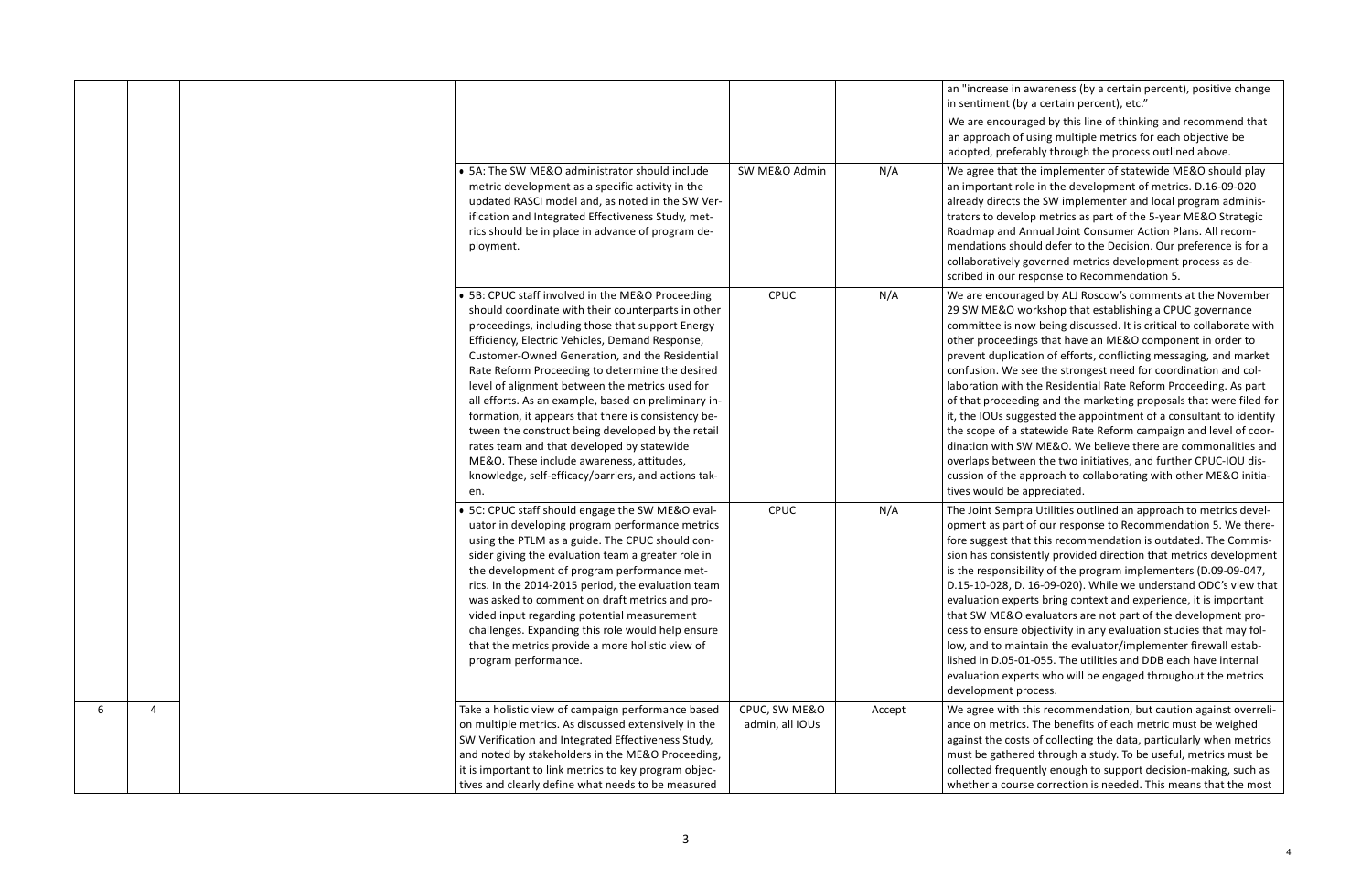in awareness (by a certain percent), positive change  $i$  (by a certain percent), etc."

uraged by this line of thinking and recommend that of using multiple metrics for each objective be eferably through the process outlined above.

at the implementer of statewide ME&O should play an important role in the development of metrics. D.16-09-020 tts the SW implementer and local program adminisvelop metrics as part of the 5-year ME&O Strategic d Annual Joint Consumer Action Plans. All recomshould defer to the Decision. Our preference is for a ly governed metrics development process as de-Ir response to Recommendation 5.

uraged by ALJ Roscow's comments at the November O workshop that establishing a CPUC governance  $\sin$  now being discussed. It is critical to collaborate with edings that have an ME&O component in order to lication of efforts, conflicting messaging, and market le see the strongest need for coordination and colith the Residential Rate Reform Proceeding. As part eding and the marketing proposals that were filed for suggested the appointment of a consultant to identify a statewide Rate Reform campaign and level of coorh SW ME&O. We believe there are commonalities and overlaps between the two initiatives, and further CPUC-IOU dise approach to collaborating with other ME&O initiabe appreciated.

mpra Utilities outlined an approach to metrics develart of our response to Recommendation 5. We therethat this recommendation is outdated. The Commissistently provided direction that metrics development is the responsibility of the program implementers (D.09-09-047, -028, D. 16-09-020). While we understand ODC's view that xperts bring context and experience, it is important RO evaluators are not part of the development prore objectivity in any evaluation studies that may folnaintain the evaluator/implementer firewall estab-5-01-055. The utilities and DDB each have internal xperts who will be engaged throughout the metrics t process.

th this recommendation, but caution against overrelirics. The benefits of each metric must be weighed costs of collecting the data, particularly when metrics nered through a study. To be useful, metrics must be collected frequently enough to support decision-making, such as burse correction is needed. This means that the most

|                                                       |                 |        | an "increase<br>in sentiment |
|-------------------------------------------------------|-----------------|--------|------------------------------|
|                                                       |                 |        | We are enco                  |
|                                                       |                 |        | an approach                  |
|                                                       |                 |        | adopted, pre                 |
| • 5A: The SW ME&O administrator should include        | SW ME&O Admin   | N/A    | We agree tha                 |
| metric development as a specific activity in the      |                 |        | an important                 |
| updated RASCI model and, as noted in the SW Ver-      |                 |        | already direc                |
| ification and Integrated Effectiveness Study, met-    |                 |        | trators to dev               |
| rics should be in place in advance of program de-     |                 |        | Roadmap and                  |
| ployment.                                             |                 |        | mendations s                 |
|                                                       |                 |        | collaborative                |
|                                                       |                 |        | scribed in ou                |
| • 5B: CPUC staff involved in the ME&O Proceeding      | CPUC            | N/A    | We are enco                  |
| should coordinate with their counterparts in other    |                 |        | 29 SW ME&C                   |
| proceedings, including those that support Energy      |                 |        | committee is                 |
| Efficiency, Electric Vehicles, Demand Response,       |                 |        | other procee                 |
| Customer-Owned Generation, and the Residential        |                 |        | prevent dupl                 |
| Rate Reform Proceeding to determine the desired       |                 |        | confusion. W                 |
| level of alignment between the metrics used for       |                 |        | laboration wi                |
| all efforts. As an example, based on preliminary in-  |                 |        | of that proce                |
| formation, it appears that there is consistency be-   |                 |        | it, the IOUs s               |
| tween the construct being developed by the retail     |                 |        | the scope of                 |
| rates team and that developed by statewide            |                 |        | dination with                |
| ME&O. These include awareness, attitudes,             |                 |        | overlaps bety                |
| knowledge, self-efficacy/barriers, and actions tak-   |                 |        | cussion of th                |
| en.                                                   |                 |        | tives would b                |
| • 5C: CPUC staff should engage the SW ME&O eval-      | CPUC            | N/A    | The Joint Sen                |
| uator in developing program performance metrics       |                 |        | opment as pa                 |
| using the PTLM as a guide. The CPUC should con-       |                 |        | fore suggest                 |
| sider giving the evaluation team a greater role in    |                 |        | sion has cons                |
| the development of program performance met-           |                 |        | is the respon                |
| rics. In the 2014-2015 period, the evaluation team    |                 |        | D.15-10-028,                 |
| was asked to comment on draft metrics and pro-        |                 |        | evaluation ex                |
| vided input regarding potential measurement           |                 |        | that SW ME8                  |
| challenges. Expanding this role would help ensure     |                 |        | cess to ensur                |
| that the metrics provide a more holistic view of      |                 |        | low, and to m                |
| program performance.                                  |                 |        | lished in D.05               |
|                                                       |                 |        | evaluation ex                |
|                                                       |                 |        | development                  |
| Take a holistic view of campaign performance based    | CPUC, SW ME&O   | Accept | We agree wit                 |
| on multiple metrics. As discussed extensively in the  | admin, all IOUs |        | ance on met                  |
| SW Verification and Integrated Effectiveness Study,   |                 |        | against the c                |
| and noted by stakeholders in the ME&O Proceeding,     |                 |        | must be gath                 |
| it is important to link metrics to key program objec- |                 |        | collected free               |
| tives and clearly define what needs to be measured    |                 |        | whether a co                 |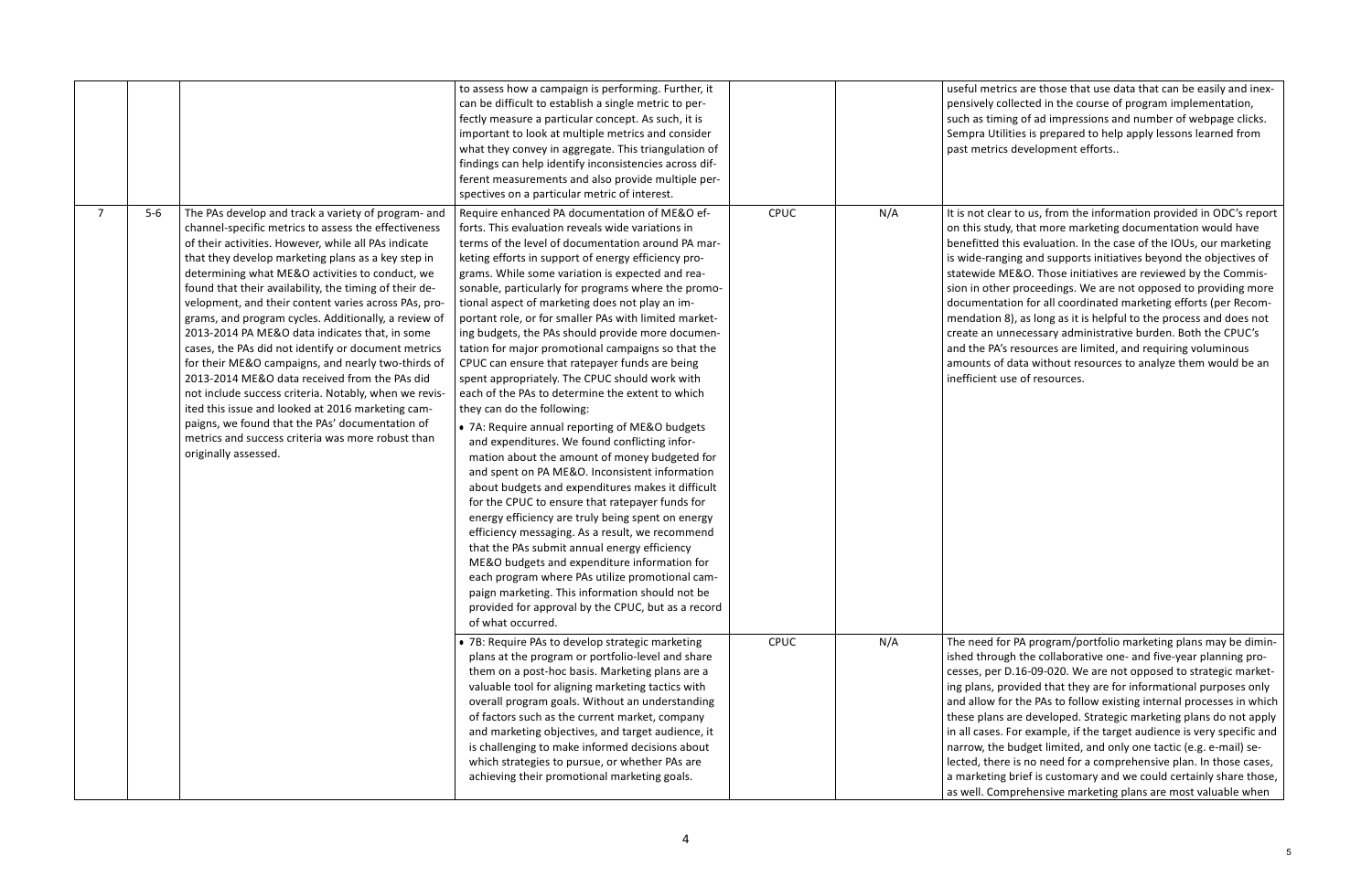cs are those that use data that can be easily and inexllected in the course of program implementation, ng of ad impressions and number of webpage clicks. ties is prepared to help apply lessons learned from development efforts..

r to us, from the information provided in ODC's report , that more marketing documentation would have his evaluation. In the case of the IOUs, our marketing ing and supports initiatives beyond the objectives of IE&O. Those initiatives are reviewed by the Commisproceedings. We are not opposed to providing more ion for all coordinated marketing efforts (per Recom-8), as long as it is helpful to the process and does not necessary administrative burden. Both the CPUC's resources are limited, and requiring voluminous data without resources to analyze them would be an se of resources.

PA program/portfolio marketing plans may be diminthe collaborative one- and five-year planning pro-0.16-09-020. We are not opposed to strategic marketovided that they are for informational purposes only r the PAs to follow existing internal processes in which are developed. Strategic marketing plans do not apply For example, if the target audience is very specific and budget limited, and only one tactic (e.g. e-mail) selected is no need for a comprehensive plan. In those cases, brief is customary and we could certainly share those, prehensive marketing plans are most valuable when

|   |       |                                                        | to assess how a campaign is performing. Further, it    |      |     | useful metrid   |
|---|-------|--------------------------------------------------------|--------------------------------------------------------|------|-----|-----------------|
|   |       |                                                        | can be difficult to establish a single metric to per-  |      |     | pensively col   |
|   |       |                                                        | fectly measure a particular concept. As such, it is    |      |     | such as timir   |
|   |       |                                                        | important to look at multiple metrics and consider     |      |     | Sempra Utilit   |
|   |       |                                                        | what they convey in aggregate. This triangulation of   |      |     | past metrics    |
|   |       |                                                        | findings can help identify inconsistencies across dif- |      |     |                 |
|   |       |                                                        | ferent measurements and also provide multiple per-     |      |     |                 |
|   |       |                                                        | spectives on a particular metric of interest.          |      |     |                 |
| 7 | $5-6$ | The PAs develop and track a variety of program- and    | Require enhanced PA documentation of ME&O ef-          | CPUC | N/A | It is not clear |
|   |       | channel-specific metrics to assess the effectiveness   | forts. This evaluation reveals wide variations in      |      |     | on this study   |
|   |       | of their activities. However, while all PAs indicate   | terms of the level of documentation around PA mar-     |      |     | benefitted th   |
|   |       |                                                        |                                                        |      |     |                 |
|   |       | that they develop marketing plans as a key step in     | keting efforts in support of energy efficiency pro-    |      |     | is wide-rangi   |
|   |       | determining what ME&O activities to conduct, we        | grams. While some variation is expected and rea-       |      |     | statewide M     |
|   |       | found that their availability, the timing of their de- | sonable, particularly for programs where the promo-    |      |     | sion in other   |
|   |       | velopment, and their content varies across PAs, pro-   | tional aspect of marketing does not play an im-        |      |     | documentati     |
|   |       | grams, and program cycles. Additionally, a review of   | portant role, or for smaller PAs with limited market-  |      |     | mendation 8     |
|   |       | 2013-2014 PA ME&O data indicates that, in some         | ing budgets, the PAs should provide more documen-      |      |     | create an un    |
|   |       | cases, the PAs did not identify or document metrics    | tation for major promotional campaigns so that the     |      |     | and the PA's    |
|   |       | for their ME&O campaigns, and nearly two-thirds of     | CPUC can ensure that ratepayer funds are being         |      |     | amounts of o    |
|   |       | 2013-2014 ME&O data received from the PAs did          | spent appropriately. The CPUC should work with         |      |     | inefficient us  |
|   |       | not include success criteria. Notably, when we revis-  | each of the PAs to determine the extent to which       |      |     |                 |
|   |       | ited this issue and looked at 2016 marketing cam-      | they can do the following:                             |      |     |                 |
|   |       | paigns, we found that the PAs' documentation of        | • 7A: Require annual reporting of ME&O budgets         |      |     |                 |
|   |       | metrics and success criteria was more robust than      | and expenditures. We found conflicting infor-          |      |     |                 |
|   |       | originally assessed.                                   | mation about the amount of money budgeted for          |      |     |                 |
|   |       |                                                        | and spent on PA ME&O. Inconsistent information         |      |     |                 |
|   |       |                                                        | about budgets and expenditures makes it difficult      |      |     |                 |
|   |       |                                                        | for the CPUC to ensure that ratepayer funds for        |      |     |                 |
|   |       |                                                        | energy efficiency are truly being spent on energy      |      |     |                 |
|   |       |                                                        |                                                        |      |     |                 |
|   |       |                                                        | efficiency messaging. As a result, we recommend        |      |     |                 |
|   |       |                                                        | that the PAs submit annual energy efficiency           |      |     |                 |
|   |       |                                                        | ME&O budgets and expenditure information for           |      |     |                 |
|   |       |                                                        | each program where PAs utilize promotional cam-        |      |     |                 |
|   |       |                                                        | paign marketing. This information should not be        |      |     |                 |
|   |       |                                                        | provided for approval by the CPUC, but as a record     |      |     |                 |
|   |       |                                                        | of what occurred.                                      |      |     |                 |
|   |       |                                                        | • 7B: Require PAs to develop strategic marketing       | CPUC | N/A | The need for    |
|   |       |                                                        | plans at the program or portfolio-level and share      |      |     | ished throug    |
|   |       |                                                        | them on a post-hoc basis. Marketing plans are a        |      |     | cesses, per D   |
|   |       |                                                        | valuable tool for aligning marketing tactics with      |      |     | ing plans, pro  |
|   |       |                                                        | overall program goals. Without an understanding        |      |     | and allow for   |
|   |       |                                                        | of factors such as the current market, company         |      |     | these plans a   |
|   |       |                                                        | and marketing objectives, and target audience, it      |      |     | in all cases. F |
|   |       |                                                        | is challenging to make informed decisions about        |      |     | narrow, the k   |
|   |       |                                                        | which strategies to pursue, or whether PAs are         |      |     | lected, there   |
|   |       |                                                        | achieving their promotional marketing goals.           |      |     | a marketing     |
|   |       |                                                        |                                                        |      |     |                 |
|   |       |                                                        |                                                        |      |     | as well. Com    |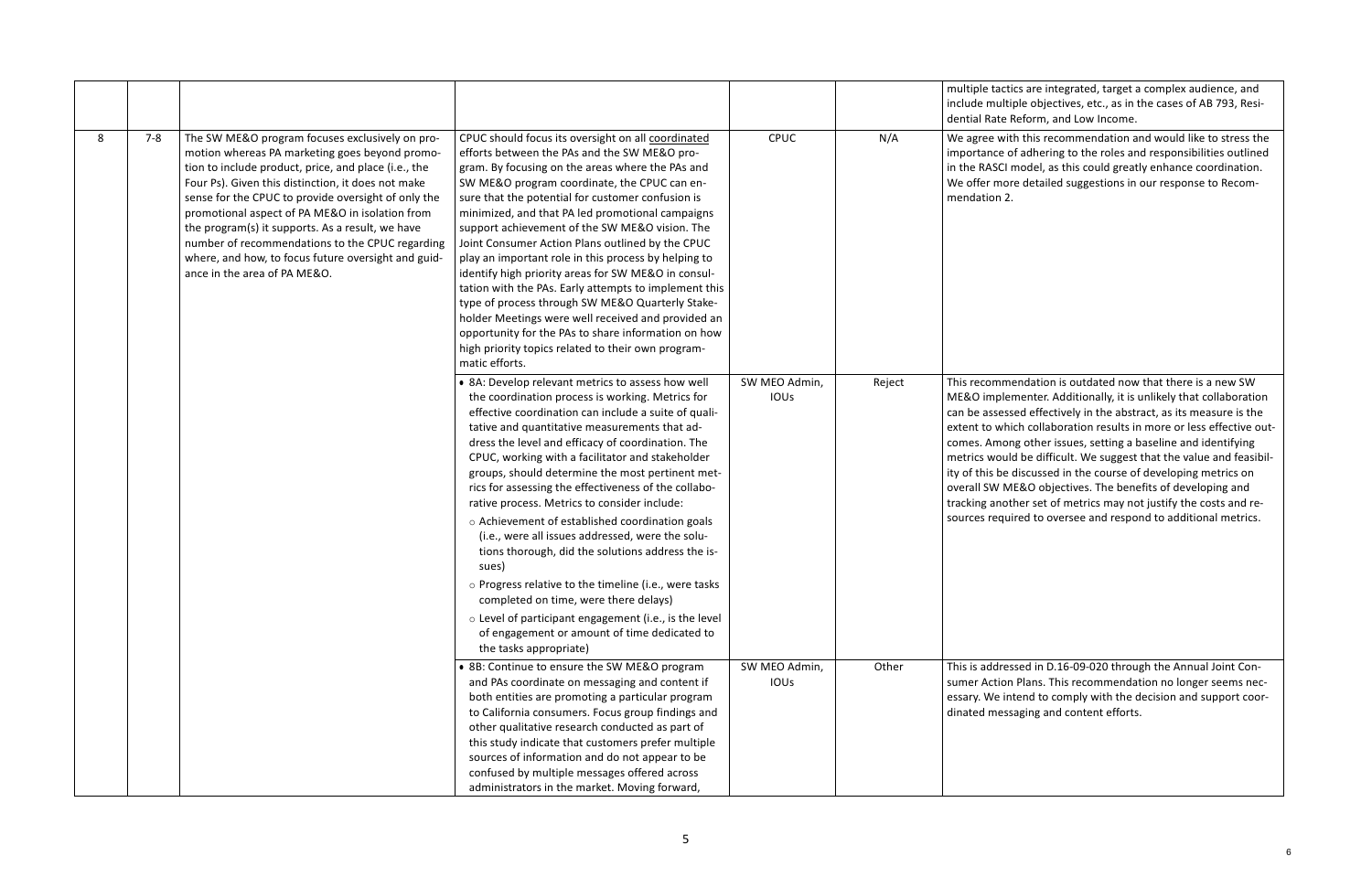tics are integrated, target a complex audience, and iple objectives, etc., as in the cases of AB 793, Resi-Reform, and Low Income.

th this recommendation and would like to stress the of adhering to the roles and responsibilities outlined model, as this could greatly enhance coordination. re detailed suggestions in our response to Recom-

rendation is outdated now that there is a new SW ementer. Additionally, it is unlikely that collaboration sed effectively in the abstract, as its measure is the ich collaboration results in more or less effective outng other issues, setting a baseline and identifying Id be difficult. We suggest that the value and feasibildiscussed in the course of developing metrics on 1E&O objectives. The benefits of developing and ther set of metrics may not justify the costs and reiired to oversee and respond to additional metrics.

ssed in D.16-09-020 through the Annual Joint Conn Plans. This recommendation no longer seems necntend to comply with the decision and support coorsaging and content efforts.

|   |         |                                                                                                                                                                                                                                                                                                                                                                                                                                                                                                                         |                                                                                                                                                                                                                                                                                                                                                                                                                                                                                                                                                                                                                                                                                                                                                                                                                                        |                       |        | multiple tacti<br>include multi<br>dential Rate F                                                                                               |
|---|---------|-------------------------------------------------------------------------------------------------------------------------------------------------------------------------------------------------------------------------------------------------------------------------------------------------------------------------------------------------------------------------------------------------------------------------------------------------------------------------------------------------------------------------|----------------------------------------------------------------------------------------------------------------------------------------------------------------------------------------------------------------------------------------------------------------------------------------------------------------------------------------------------------------------------------------------------------------------------------------------------------------------------------------------------------------------------------------------------------------------------------------------------------------------------------------------------------------------------------------------------------------------------------------------------------------------------------------------------------------------------------------|-----------------------|--------|-------------------------------------------------------------------------------------------------------------------------------------------------|
| 8 | $7 - 8$ | The SW ME&O program focuses exclusively on pro-<br>motion whereas PA marketing goes beyond promo-<br>tion to include product, price, and place (i.e., the<br>Four Ps). Given this distinction, it does not make<br>sense for the CPUC to provide oversight of only the<br>promotional aspect of PA ME&O in isolation from<br>the program(s) it supports. As a result, we have<br>number of recommendations to the CPUC regarding<br>where, and how, to focus future oversight and guid-<br>ance in the area of PA ME&O. | CPUC should focus its oversight on all coordinated<br>efforts between the PAs and the SW ME&O pro-<br>gram. By focusing on the areas where the PAs and<br>SW ME&O program coordinate, the CPUC can en-<br>sure that the potential for customer confusion is<br>minimized, and that PA led promotional campaigns<br>support achievement of the SW ME&O vision. The<br>Joint Consumer Action Plans outlined by the CPUC<br>play an important role in this process by helping to<br>identify high priority areas for SW ME&O in consul-<br>tation with the PAs. Early attempts to implement this<br>type of process through SW ME&O Quarterly Stake-<br>holder Meetings were well received and provided an<br>opportunity for the PAs to share information on how<br>high priority topics related to their own program-<br>matic efforts. | CPUC                  | N/A    | We agree wit<br>importance o<br>in the RASCI r<br>We offer mor<br>mendation 2.                                                                  |
|   |         |                                                                                                                                                                                                                                                                                                                                                                                                                                                                                                                         | • 8A: Develop relevant metrics to assess how well<br>the coordination process is working. Metrics for<br>effective coordination can include a suite of quali-<br>tative and quantitative measurements that ad-<br>dress the level and efficacy of coordination. The<br>CPUC, working with a facilitator and stakeholder<br>groups, should determine the most pertinent met-<br>rics for assessing the effectiveness of the collabo-<br>rative process. Metrics to consider include:                                                                                                                                                                                                                                                                                                                                                    | SW MEO Admin,<br>IOUs | Reject | This recomm<br>ME&O impler<br>can be assess<br>extent to whi<br>comes. Amor<br>metrics would<br>ity of this be<br>overall SW M<br>tracking anot |
|   |         |                                                                                                                                                                                                                                                                                                                                                                                                                                                                                                                         | o Achievement of established coordination goals<br>(i.e., were all issues addressed, were the solu-<br>tions thorough, did the solutions address the is-<br>sues)<br>o Progress relative to the timeline (i.e., were tasks                                                                                                                                                                                                                                                                                                                                                                                                                                                                                                                                                                                                             |                       |        | sources requi                                                                                                                                   |
|   |         |                                                                                                                                                                                                                                                                                                                                                                                                                                                                                                                         | completed on time, were there delays)<br>o Level of participant engagement (i.e., is the level<br>of engagement or amount of time dedicated to<br>the tasks appropriate)                                                                                                                                                                                                                                                                                                                                                                                                                                                                                                                                                                                                                                                               |                       |        |                                                                                                                                                 |
|   |         |                                                                                                                                                                                                                                                                                                                                                                                                                                                                                                                         | • 8B: Continue to ensure the SW ME&O program<br>and PAs coordinate on messaging and content if<br>both entities are promoting a particular program<br>to California consumers. Focus group findings and<br>other qualitative research conducted as part of<br>this study indicate that customers prefer multiple<br>sources of information and do not appear to be<br>confused by multiple messages offered across<br>administrators in the market. Moving forward,                                                                                                                                                                                                                                                                                                                                                                    | SW MEO Admin,<br>IOUs | Other  | This is addres<br>sumer Action<br>essary. We in<br>dinated mess                                                                                 |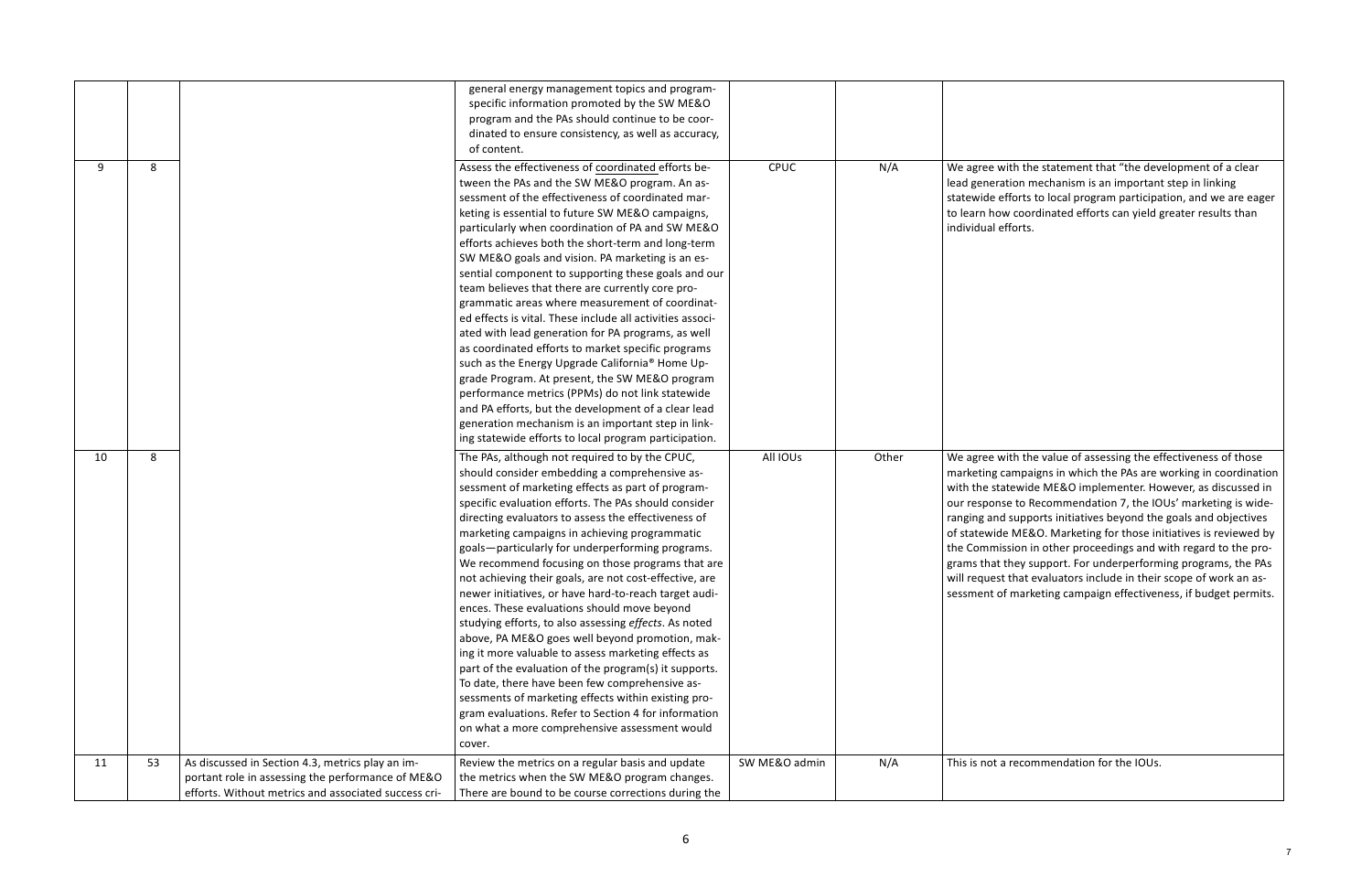with the statement that "the development of a clear ition mechanism is an important step in linking fforts to local program participation, and we are eager  $\alpha$  coordinated efforts can yield greater results than fforts.

 $\frac{1}{\pi}$  ith the value of assessing the effectiveness of those ampaigns in which the PAs are working in coordination tewide ME&O implementer. However, as discussed in se to Recommendation 7, the IOUs' marketing is wide-I supports initiatives beyond the goals and objectives **ME&O.** Marketing for those initiatives is reviewed by ssion in other proceedings and with regard to the prothey support. For underperforming programs, the PAs that evaluators include in their scope of work an asf marketing campaign effectiveness, if budget permits.

recommendation for the IOUs.

|    |    |                                                      | general energy management topics and program-<br>specific information promoted by the SW ME&O        |               |       |                             |
|----|----|------------------------------------------------------|------------------------------------------------------------------------------------------------------|---------------|-------|-----------------------------|
|    |    |                                                      | program and the PAs should continue to be coor-                                                      |               |       |                             |
|    |    |                                                      | dinated to ensure consistency, as well as accuracy,                                                  |               |       |                             |
|    |    |                                                      | of content.                                                                                          |               |       |                             |
| 9  | 8  |                                                      | Assess the effectiveness of coordinated efforts be-                                                  | <b>CPUC</b>   | N/A   | We agree wi                 |
|    |    |                                                      | tween the PAs and the SW ME&O program. An as-                                                        |               |       | lead generat                |
|    |    |                                                      | sessment of the effectiveness of coordinated mar-                                                    |               |       | statewide ef                |
|    |    |                                                      | keting is essential to future SW ME&O campaigns,                                                     |               |       | to learn how                |
|    |    |                                                      | particularly when coordination of PA and SW ME&O                                                     |               |       | individual ef               |
|    |    |                                                      | efforts achieves both the short-term and long-term                                                   |               |       |                             |
|    |    |                                                      | SW ME&O goals and vision. PA marketing is an es-                                                     |               |       |                             |
|    |    |                                                      | sential component to supporting these goals and our                                                  |               |       |                             |
|    |    |                                                      | team believes that there are currently core pro-                                                     |               |       |                             |
|    |    |                                                      | grammatic areas where measurement of coordinat-                                                      |               |       |                             |
|    |    |                                                      | ed effects is vital. These include all activities associ-                                            |               |       |                             |
|    |    |                                                      | ated with lead generation for PA programs, as well                                                   |               |       |                             |
|    |    |                                                      | as coordinated efforts to market specific programs                                                   |               |       |                             |
|    |    |                                                      | such as the Energy Upgrade California® Home Up-                                                      |               |       |                             |
|    |    |                                                      | grade Program. At present, the SW ME&O program                                                       |               |       |                             |
|    |    |                                                      | performance metrics (PPMs) do not link statewide                                                     |               |       |                             |
|    |    |                                                      | and PA efforts, but the development of a clear lead                                                  |               |       |                             |
|    |    |                                                      | generation mechanism is an important step in link-                                                   |               |       |                             |
|    |    |                                                      | ing statewide efforts to local program participation.                                                |               |       |                             |
| 10 | 8  |                                                      | The PAs, although not required to by the CPUC,                                                       | All IOUs      | Other | We agree wi                 |
|    |    |                                                      | should consider embedding a comprehensive as-                                                        |               |       | marketing ca                |
|    |    |                                                      | sessment of marketing effects as part of program-                                                    |               |       | with the stat               |
|    |    |                                                      | specific evaluation efforts. The PAs should consider                                                 |               |       | our respons                 |
|    |    |                                                      | directing evaluators to assess the effectiveness of                                                  |               |       | ranging and<br>of statewide |
|    |    |                                                      | marketing campaigns in achieving programmatic                                                        |               |       | the Commis:                 |
|    |    |                                                      | goals-particularly for underperforming programs.<br>We recommend focusing on those programs that are |               |       | grams that t                |
|    |    |                                                      | not achieving their goals, are not cost-effective, are                                               |               |       | will request                |
|    |    |                                                      | newer initiatives, or have hard-to-reach target audi-                                                |               |       | sessment of                 |
|    |    |                                                      | ences. These evaluations should move beyond                                                          |               |       |                             |
|    |    |                                                      | studying efforts, to also assessing effects. As noted                                                |               |       |                             |
|    |    |                                                      | above, PA ME&O goes well beyond promotion, mak-                                                      |               |       |                             |
|    |    |                                                      | ing it more valuable to assess marketing effects as                                                  |               |       |                             |
|    |    |                                                      | part of the evaluation of the program(s) it supports.                                                |               |       |                             |
|    |    |                                                      | To date, there have been few comprehensive as-                                                       |               |       |                             |
|    |    |                                                      | sessments of marketing effects within existing pro-                                                  |               |       |                             |
|    |    |                                                      | gram evaluations. Refer to Section 4 for information                                                 |               |       |                             |
|    |    |                                                      | on what a more comprehensive assessment would                                                        |               |       |                             |
|    |    |                                                      | cover.                                                                                               |               |       |                             |
| 11 | 53 | As discussed in Section 4.3, metrics play an im-     | Review the metrics on a regular basis and update                                                     | SW ME&O admin | N/A   | This is not a               |
|    |    | portant role in assessing the performance of ME&O    | the metrics when the SW ME&O program changes.                                                        |               |       |                             |
|    |    | efforts. Without metrics and associated success cri- | There are bound to be course corrections during the                                                  |               |       |                             |
|    |    |                                                      |                                                                                                      |               |       |                             |